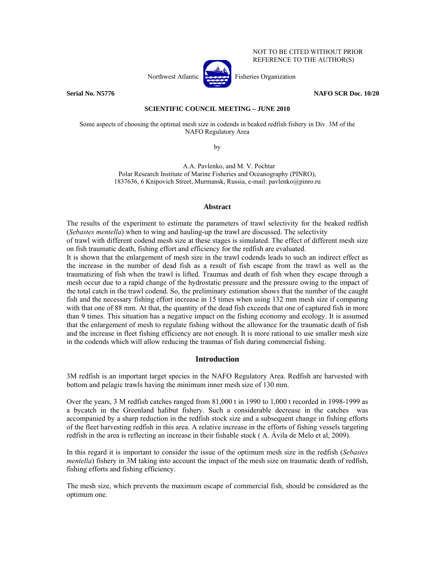NOT TO BE CITED WITHOUT PRIOR REFERENCE TO THE AUTHOR(S)



**Serial No. N5776** NAFO SCR Doc. 10/20

# **SCIENTIFIC COUNCIL MEETING – JUNE 2010**

Some aspects of choosing the optimal mesh size in codends in beaked redfish fishery in Div. 3M of the NAFO Regulatory Area

by

A.A. Pavlenko, and M. V. Pochtar Polar Research Institute of Marine Fisheries and Oceanography (PINRO), 1837636, 6 Knipovich Street, Murmansk, Russia, e-mail: pavlenko@pinro.ru

# **Abstract**

The results of the experiment to estimate the parameters of trawl selectivity for the beaked redfish (*Sebastes mentella*) when to wing and hauling-up the trawl are discussed. The selectivity of trawl with different codend mesh size at these stages is simulated. The effect of different mesh size on fish traumatic death, fishing effort and efficiency for the redfish are evaluated. It is shown that the enlargement of mesh size in the trawl codends leads to such an indirect effect as the increase in the number of dead fish as a result of fish escape from the trawl as well as the traumatizing of fish when the trawl is lifted. Traumas and death of fish when they escape through a mesh occur due to a rapid change of the hydrostatic pressure and the pressure owing to the impact of the total catch in the trawl codend. So, the preliminary estimation shows that the number of the caught fish and the necessary fishing effort increase in 15 times when using 132 mm mesh size if comparing

with that one of 88 mm. At that, the quantity of the dead fish exceeds that one of captured fish in more than 9 times. This situation has a negative impact on the fishing economy and ecology. It is assumed that the enlargement of mesh to regulate fishing without the allowance for the traumatic death of fish and the increase in fleet fishing efficiency are not enough. It is more rational to use smaller mesh size in the codends which will allow reducing the traumas of fish during commercial fishing.

# **Introduction**

3M redfish is an important target species in the NAFO Regulatory Area. Redfish are harvested with bottom and pelagic trawls having the minimum inner mesh size of 130 mm.

Over the years, 3 M redfish catches ranged from 81,000 t in 1990 to 1,000 t recorded in 1998-1999 as a bycatch in the Greenland halibut fishery. Such a considerable decrease in the catches was accompanied by a sharp reduction in the redfish stock size and a subsequent change in fishing efforts of the fleet harvesting redfish in this area. A relative increase in the efforts of fishing vessels targeting redfish in the area is reflecting an increase in their fishable stock ( A. Ávila de Melo et al, 2009).

In this regard it is important to consider the issue of the optimum mesh size in the redfish (*Sebastes mentella*) fishery in 3M taking into account the impact of the mesh size on traumatic death of redfish, fishing efforts and fishing efficiency.

The mesh size, which prevents the maximum escape of commercial fish, should be considered as the optimum one.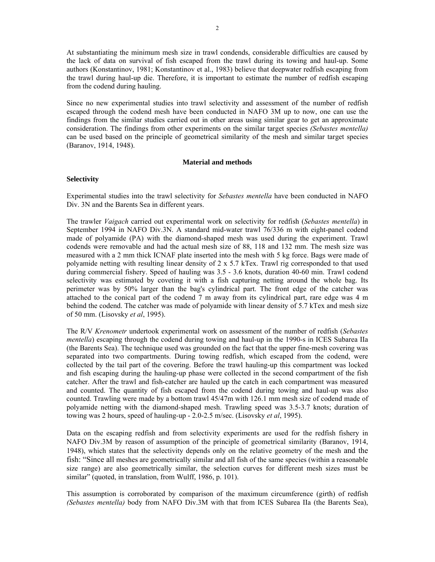At substantiating the minimum mesh size in trawl condends, considerable difficulties are caused by the lack of data on survival of fish escaped from the trawl during its towing and haul-up. Some authors (Konstantinov, 1981; Konstantinov et al., 1983) believe that deepwater redfish escaping from the trawl during haul-up die. Therefore, it is important to estimate the number of redfish escaping from the codend during hauling.

Since no new experimental studies into trawl selectivity and assessment of the number of redfish escaped through the codend mesh have been conducted in NAFO 3M up to now, one can use the findings from the similar studies carried out in other areas using similar gear to get an approximate consideration. The findings from other experiments on the similar target species *(Sebastes mentella)* can be used based on the principle of geometrical similarity of the mesh and similar target species (Baranov, 1914, 1948).

### **Material and methods**

## **Selectivity**

Experimental studies into the trawl selectivity for *Sebastes mentella* have been conducted in NAFO Div. 3N and the Barents Sea in different years.

The trawler *Vaigach* carried out experimental work on selectivity for redfish (*Sebastes mentella*) in September 1994 in NAFO Div.3N. A standard mid-water trawl 76/336 m with eight-panel codend made of polyamide (PA) with the diamond-shaped mesh was used during the experiment. Trawl codends were removable and had the actual mesh size of 88, 118 and 132 mm. The mesh size was measured with a 2 mm thick ICNAF plate inserted into the mesh with 5 kg force. Bags were made of polyamide netting with resulting linear density of 2 x 5.7 kTex. Trawl rig corresponded to that used during commercial fishery. Speed of hauling was 3.5 - 3.6 knots, duration 40-60 min. Trawl codend selectivity was estimated by coveting it with a fish capturing netting around the whole bag. Its perimeter was by 50% larger than the bag's cylindrical part. The front edge of the catcher was attached to the conical part of the codend 7 m away from its cylindrical part, rare edge was 4 m behind the codend. The catcher was made of polyamide with linear density of 5.7 kTex and mesh size of 50 mm. (Lisovsky *et al*, 1995).

The R/V *Krenometr* undertook experimental work on assessment of the number of redfish (*Sebastes mentella*) escaping through the codend during towing and haul-up in the 1990-s in ICES Subarea IIa (the Barents Sea). The technique used was grounded on the fact that the upper fine-mesh covering was separated into two compartments. During towing redfish, which escaped from the codend, were collected by the tail part of the covering. Before the trawl hauling-up this compartment was locked and fish escaping during the hauling-up phase were collected in the second compartment of the fish catcher. After the trawl and fish-catcher are hauled up the catch in each compartment was measured and counted. The quantity of fish escaped from the codend during towing and haul-up was also counted. Trawling were made by a bottom trawl 45/47m with 126.1 mm mesh size of codend made of polyamide netting with the diamond-shaped mesh. Trawling speed was 3.5-3.7 knots; duration of towing was 2 hours, speed of hauling-up - 2.0-2.5 m/sec. (Lisovsky *et al*, 1995).

Data on the escaping redfish and from selectivity experiments are used for the redfish fishery in NAFO Div.3M by reason of assumption of the principle of geometrical similarity (Baranov, 1914, 1948), which states that the selectivity depends only on the relative geometry of the mesh and the fish: "Since all meshes are geometrically similar and all fish of the same species (within a reasonable size range) are also geometrically similar, the selection curves for different mesh sizes must be similar" (quoted, in translation, from Wulff, 1986, p. 101).

This assumption is corroborated by comparison of the maximum circumference (girth) of redfish *(Sebastes mentella)* body from NAFO Div.3M with that from ICES Subarea IIa (the Barents Sea),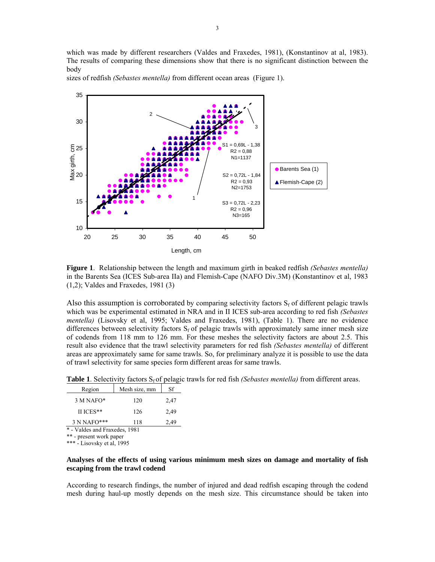which was made by different researchers (Valdes and Fraxedes, 1981), (Konstantinov at al, 1983). The results of comparing these dimensions show that there is no significant distinction between the body



sizes of redfish *(Sebastes mentella)* from different ocean areas (Figure 1).

**Figure 1**. Relationship between the length and maximum girth in beaked redfish *(Sebastes mentella)*  in the Barents Sea (ICES Sub-area IIa) and Flemish-Cape (NAFO Div.3M) (Konstantinov et al, 1983 (1,2); Valdes and Fraxedes, 1981 (3)

Also this assumption is corroborated by comparing selectivity factors  $S_f$  of different pelagic trawls which was be experimental estimated in NRA and in II ICES sub-area according to red fish *(Sebastes mentella)* (Lisovsky et al, 1995; Valdes and Fraxedes, 1981), (Table 1). There are no evidence differences between selectivity factors  $S_f$  of pelagic trawls with approximately same inner mesh size of codends from 118 mm to 126 mm. For these meshes the selectivity factors are about 2.5. This result also evidence that the trawl selectivity parameters for red fish *(Sebastes mentella)* of different areas are approximately same for same trawls. So, for preliminary analyze it is possible to use the data of trawl selectivity for same species form different areas for same trawls.

**Table 1**. Selectivity factors  $S_f$  of pelagic trawls for red fish *(Sebastes mentella)* from different areas.

| Region                        | Mesh size, mm | Sf   |  |  |  |
|-------------------------------|---------------|------|--|--|--|
| 3 M NAFO*                     | 120           | 2,47 |  |  |  |
| II ICES**                     | 126           | 2.49 |  |  |  |
| 3 N NAFO***                   | 118           | 2,49 |  |  |  |
| * - Valdes and Fraxedes, 1981 |               |      |  |  |  |

\*\* - present work paper

\*\*\* - Lisovsky et al, 1995

# **Analyses of the effects of using various minimum mesh sizes on damage and mortality of fish escaping from the trawl codend**

According to research findings, the number of injured and dead redfish escaping through the codend mesh during haul-up mostly depends on the mesh size. This circumstance should be taken into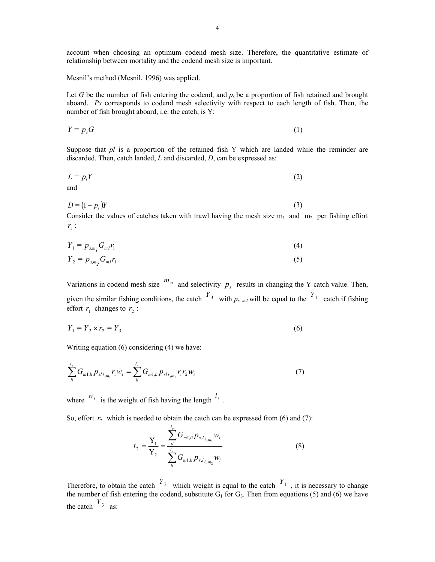account when choosing an optimum codend mesh size. Therefore, the quantitative estimate of relationship between mortality and the codend mesh size is important.

Mesnil's method (Mesnil, 1996) was applied.

Let *G* be the number of fish entering the codend, and  $p<sub>s</sub>$  be a proportion of fish retained and brought aboard. *Ps* corresponds to codend mesh selectivity with respect to each length of fish. Then, the number of fish brought aboard, i.e. the catch, is Y:

$$
Y = p_s G \tag{1}
$$

Suppose that *pl* is a proportion of the retained fish Y which are landed while the reminder are discarded. Then, catch landed, *L* and discarded, *D*, can be expressed as:

$$
L = p_l Y \tag{2}
$$

$$
D = (1 - p_i)Y
$$
 (3)

Consider the values of catches taken with trawl having the mesh size  $m_1$  and  $m_2$  per fishing effort  $r_1$  :

$$
Y_1 = p_{s,m_1} G_{m1} r_1 \tag{4}
$$

$$
Y_2 = p_{s,m_2} G_{m1} r_1 \tag{5}
$$

Variations in codend mesh size  $m_n$  and selectivity  $p_s$  results in changing the Y catch value. Then, given the similar fishing conditions, the catch  $Y_3$  with  $p_{s,m2}$  will be equal to the  $Y_1$  catch if fishing effort  $r_1$  changes to  $r_2$ :

$$
Y_1 = Y_2 \times r_2 = Y_3 \tag{6}
$$

Writing equation (6) considering (4) we have:

$$
\sum_{li}^{l_n} G_{m1,li} p_{sli,m_l} r_1 w_i = \sum_{li}^{l_n} G_{m1,li} p_{sli,m_2} r_1 r_2 w_i
$$
\n(7)

where  $w_i$  is the weight of fish having the length  $l_i$ .

So, effort  $r_2$  which is needed to obtain the catch can be expressed from (6) and (7):

$$
t_2 = \frac{Y_1}{Y_2} = \frac{\sum_{l}^{l_n} G_{m1,l} p_{s,l_{l,m_1}} w_i}{\sum_{l}^{l_n} G_{m1,l} p_{s,l_{l,m_2}} w_i}
$$
(8)

Therefore, to obtain the catch  $Y_3$  which weight is equal to the catch  $Y_1$ , it is necessary to change the number of fish entering the codend, substitute  $G_1$  for  $G_3$ . Then from equations (5) and (6) we have the catch  $Y_3$  as: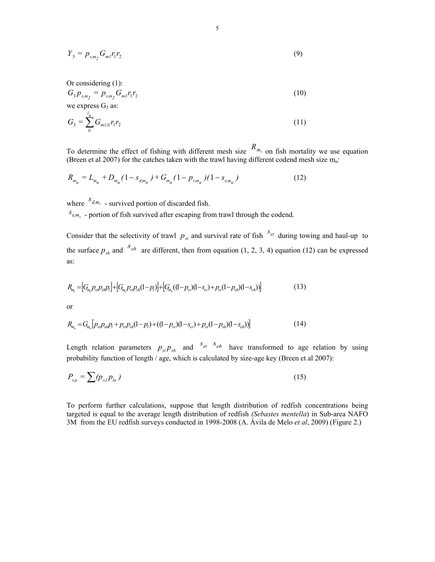$$
Y_3 = p_{s,m_2} G_{m1} r_1 r_2 \tag{9}
$$

Or considering (1):  
\n
$$
G_3 p_{s,m_2} = p_{s,m_2} G_{mI} r_1 r_2
$$
\n(10)

we express  $G_3$  as:

$$
G_3 = \sum_{li}^{l_n} G_{m1,li} r_1 r_2 \tag{11}
$$

To determine the effect of fishing with different mesh size  $R_{m_n}$  on fish mortality we use equation (Breen et al 2007) for the catches taken with the trawl having different codend mesh size  $m_n$ .

$$
R_{m_n} = L_{m_n} + D_{m_n} (1 - s_{d, m_n}) + G_{m_n} (1 - p_{r, m_n}) (1 - s_{e, m_n})
$$
\n(12)

where  $s_{d,m_n}$  - survived portion of discarded fish.

 $s_{e, m_n}$  - portion of fish survived after escaping from trawl through the codend.

Consider that the selectivity of trawl  $p_{st}$  and survival rate of fish  $S_{et}$  during towing and haul-up to the surface  $p_{sh}$  and <sup>S<sub>eh</sub></sup> are different, then from equation (1, 2, 3, 4) equation (12) can be expressed as:

$$
R_{m_{h}} = [G_{m_{h}}P_{st}P_{st}P_{st}P_{t}] + [G_{m_{h}}P_{st}P_{st}(1-p_{t})] + [G_{m_{h}}((1-p_{st})(1-s_{et})+p_{st}(1-p_{st})(1-s_{eh}))]
$$
\n(13)

or

$$
R_{m_n} = G_{m_n} [p_{st} p_{sh} p_l + p_{st} p_{sh} (1 - p_l) + ((1 - p_{st}) (1 - s_{et}) + p_{st} (1 - p_{sh}) (1 - s_{eh}))]
$$
\n(14)

Length relation parameters  $p_{st} p_{sh}$  and  $s_{et}$  *s<sub>eh</sub>* have transformed to age relation by using probability function of length / age, which is calculated by size-age key (Breen et al 2007):

$$
P_{x,a} = \sum (p_{x,l} p_{la})
$$
\n(15)

To perform further calculations, suppose that length distribution of redfish concentrations being targeted is equal to the average length distribution of redfish *(Sebastes mentella*) in Sub-area NAFO 3M from the EU redfish surveys conducted in 1998-2008 (A. Ávila de Melo *et al*, 2009) (Figure 2.)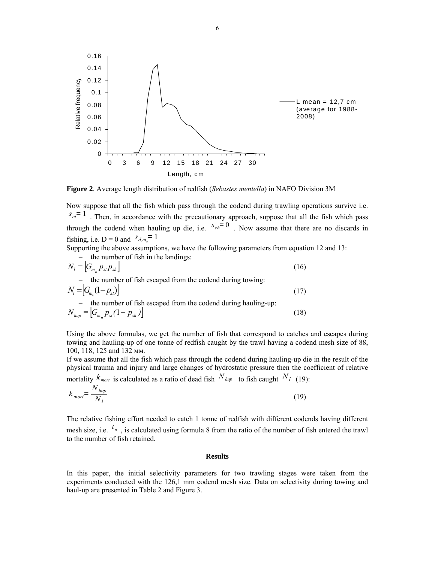

**Figure 2**. Average length distribution of redfish (*Sebastes mentella*) in NAFO Division 3М

Now suppose that all the fish which pass through the codend during trawling operations survive i.e.  $s_{et} = 1$ . Then, in accordance with the precautionary approach, suppose that all the fish which pass through the codend when hauling up die, i.e.  $s_{eh} = 0$ . Now assume that there are no discards in fishing, i.e.  $D = 0$  and  $s_{d,m} = 1$ 

Supporting the above assumptions, we have the following parameters from equation 12 and 13: − the number of fish in the landings:

$$
N_{l} = \left| G_{m_{n}} p_{st} p_{sh} \right|
$$
\n- the number of fish escaped from the codend during towing:  
\n
$$
N_{t} = \left| G_{m_{n}} (1 - p_{st}) \right|
$$
\n- the number of fish escaped from the codend during hauling-up:  
\n
$$
N_{hup} = \left| G_{m_{n}} p_{st} (1 - p_{sh}) \right|
$$
\n(18)

Using the above formulas, we get the number of fish that correspond to catches and escapes during towing and hauling-up of one tonne of redfish caught by the trawl having a codend mesh size of 88, 100, 118, 125 and 132 мм.

If we assume that all the fish which pass through the codend during hauling-up die in the result of the physical trauma and injury and large changes of hydrostatic pressure then the coefficient of relative mortality  $k_{\text{mort}}$  is calculated as a ratio of dead fish  $N_{\text{hup}}$  to fish caught  $N_l$  (19):

$$
k_{mort} = \frac{N_{hup}}{N_l} \tag{19}
$$

The relative fishing effort needed to catch 1 tonne of redfish with different codends having different mesh size, i.e.  $t_n$ , is calculated using formula 8 from the ratio of the number of fish entered the trawl to the number of fish retained.

## **Results**

In this paper, the initial selectivity parameters for two trawling stages were taken from the experiments conducted with the 126,1 mm codend mesh size. Data on selectivity during towing and haul-up are presented in Table 2 and Figure 3.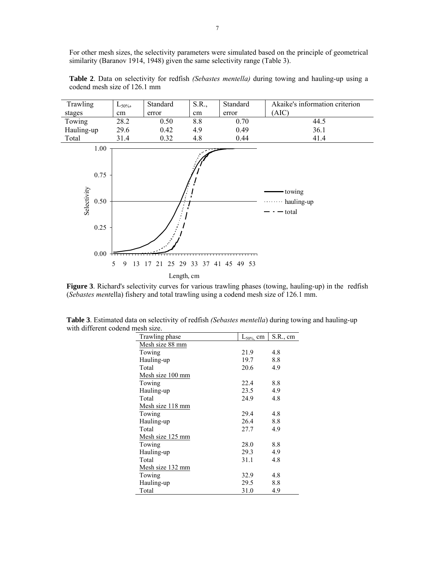For other mesh sizes, the selectivity parameters were simulated based on the principle of geometrical similarity (Baranov 1914, 1948) given the same selectivity range (Table 3).

| Trawling                                            | $L_{50\%}$   | Standard | S.R.,      | Standard                | Akaike's information criterion  |
|-----------------------------------------------------|--------------|----------|------------|-------------------------|---------------------------------|
| stages                                              | cm           | error    | cm         | error                   | (AIC)                           |
| Towing                                              | 28.2         | 0.50     | 8.8        | 0.70                    | 44.5                            |
| Hauling-up                                          | 29.6         | 0.42     | 4.9        | 0.49                    | 36.1                            |
| Total                                               | 31.4         | 0.32     | 4.8        | 0.44                    | 41.4                            |
| 1.00<br>0.75<br>Selectivity<br>0.50<br>0.25<br>0.00 | 13<br>5<br>9 | 21<br>17 |            | 25 29 33 37 41 45 49 53 | towing<br>hauling-up<br>- total |
|                                                     |              |          | Length, cm |                         |                                 |

**Table 2**. Data on selectivity for redfish *(Sebastes mentella)* during towing and hauling-up using a codend mesh size of 126.1 mm

**Figure 3**. Richard's selectivity curves for various trawling phases (towing, hauling-up) in the redfish (*Sebastes ment*ella) fishery and total trawling using a codend mesh size of 126.1 mm.

| Trawling phase          | $L_{50\%}$ cm | S.R., cm |
|-------------------------|---------------|----------|
| Mesh size 88 mm         |               |          |
| Towing                  | 21.9          | 4.8      |
| Hauling-up              | 19.7          | 8.8      |
| Total                   | 20.6          | 4.9      |
| <u>Mesh size 100 mm</u> |               |          |
| Towing                  | 22.4          | 8.8      |
| Hauling-up              | 23.5          | 4.9      |
| Total                   | 24.9          | 4.8      |
| Mesh size 118 mm        |               |          |
| Towing                  | 29.4          | 4.8      |
| Hauling-up              | 26.4          | 8.8      |
| Total                   | 27.7          | 4.9      |
| Mesh size 125 mm        |               |          |
| Towing                  | 28.0          | 8.8      |
| Hauling-up              | 29.3          | 4.9      |
| Total                   | 31.1          | 4.8      |
| <u>Mesh size 132 mm</u> |               |          |
| Towing                  | 32.9          | 4.8      |
| Hauling-up              | 29.5          | 8.8      |
| Total                   | 31.0          | 4.9      |

**Table 3**. Estimated data on selectivity of redfish *(Sebastes mentella*) during towing and hauling-up with different codend mesh size.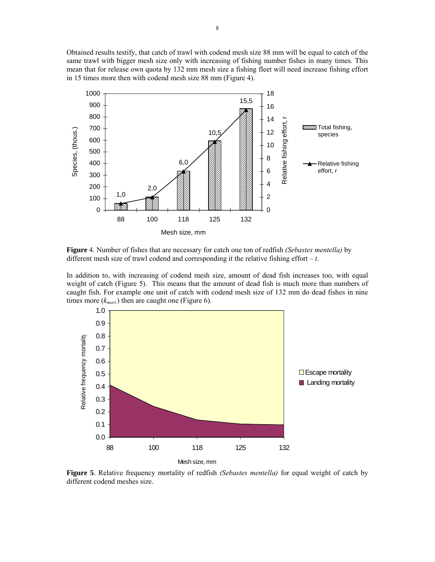Obtained results testify, that catch of trawl with codend mesh size 88 mm will be equal to catch of the same trawl with bigger mesh size only with increasing of fishing number fishes in many times. This mean that for release own quota by 132 mm mesh size a fishing fleet will need increase fishing effort in 15 times more then with codend mesh size 88 mm (Figure 4).



**Figure** 4. Number of fishes that are necessary for catch one ton of redfish *(Sebastes mentella)* by different mesh size of trawl codend and corresponding it the relative fishing effort – *t*.

In addition to, with increasing of codend mesh size, amount of dead fish increases too, with equal weight of catch (Figure 5). This means that the amount of dead fish is much more than numbers of caught fish. For example one unit of catch with codend mesh size of 132 mm do dead fishes in nine times more  $(k<sub>mort</sub>)$  then are caught one (Figure 6).



**Figure 5**. Relative frequency mortality of redfish *(Sebastes mentella)* for equal weight of catch by different codend meshes size.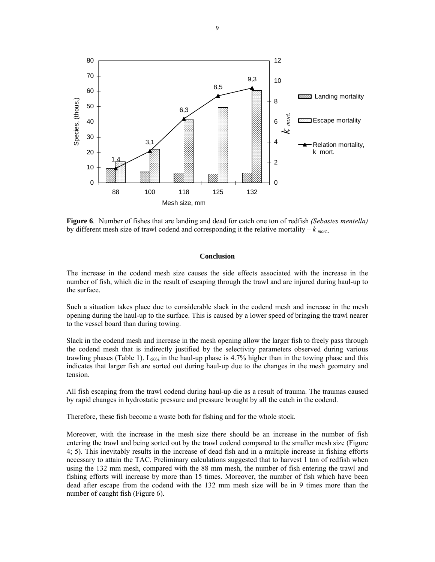

**Figure 6**. Number of fishes that are landing and dead for catch one ton of redfish *(Sebastes mentella)* by different mesh size of trawl codend and corresponding it the relative mortality  $-k_{\text{mort.}}$ 

### **Conclusion**

The increase in the codend mesh size causes the side effects associated with the increase in the number of fish, which die in the result of escaping through the trawl and are injured during haul-up to the surface.

Such a situation takes place due to considerable slack in the codend mesh and increase in the mesh opening during the haul-up to the surface. This is caused by a lower speed of bringing the trawl nearer to the vessel board than during towing.

Slack in the codend mesh and increase in the mesh opening allow the larger fish to freely pass through the codend mesh that is indirectly justified by the selectivity parameters observed during various trawling phases (Table 1). L<sub>50%</sub> in the haul-up phase is 4.7% higher than in the towing phase and this indicates that larger fish are sorted out during haul-up due to the changes in the mesh geometry and tension.

All fish escaping from the trawl codend during haul-up die as a result of trauma. The traumas caused by rapid changes in hydrostatic pressure and pressure brought by all the catch in the codend.

Therefore, these fish become a waste both for fishing and for the whole stock.

Moreover, with the increase in the mesh size there should be an increase in the number of fish entering the trawl and being sorted out by the trawl codend compared to the smaller mesh size (Figure 4; 5). This inevitably results in the increase of dead fish and in a multiple increase in fishing efforts necessary to attain the TAC. Preliminary calculations suggested that to harvest 1 ton of redfish when using the 132 mm mesh, compared with the 88 mm mesh, the number of fish entering the trawl and fishing efforts will increase by more than 15 times. Moreover, the number of fish which have been dead after escape from the codend with the 132 mm mesh size will be in 9 times more than the number of caught fish (Figure 6).